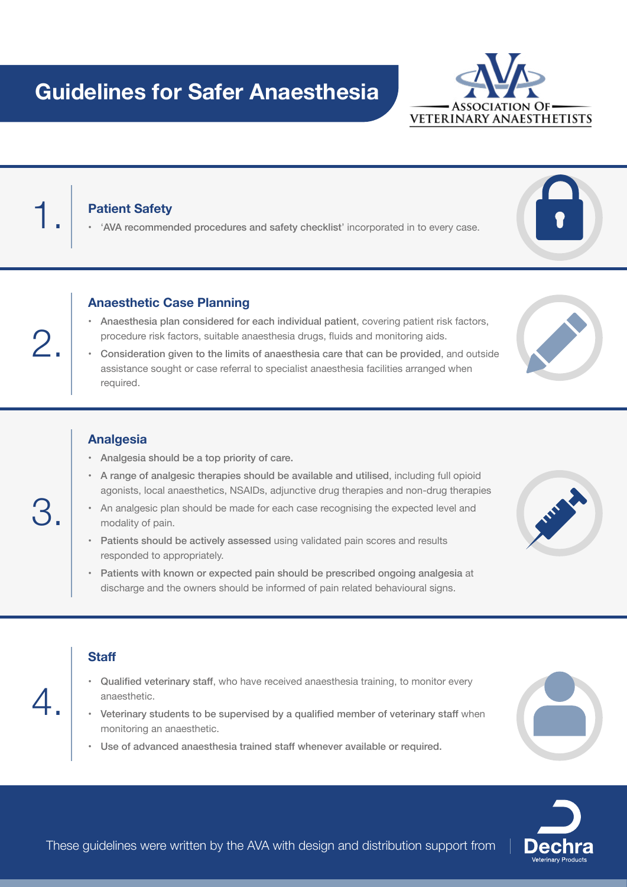## **Guidelines for Safer Anaesthesia**

**Patient Safety**<br>• 'AVA recommended procedures and safety checklist' incorporated in to every case.

#### **Anaesthetic Case Planning**

- • Anaesthesia plan considered for each individual patient, covering patient risk factors, procedure risk factors, suitable anaesthesia drugs, fluids and monitoring aids.
- • Consideration given to the limits of anaesthesia care that can be provided, and outside assistance sought or case referral to specialist anaesthesia facilities arranged when required.

#### **Analgesia**

- • Analgesia should be a top priority of care.
- • A range of analgesic therapies should be available and utilised, including full opioid agonists, local anaesthetics, NSAIDs, adjunctive drug therapies and non-drug therapies
- • An analgesic plan should be made for each case recognising the expected level and modality of pain.
- Patients should be actively assessed using validated pain scores and results responded to appropriately.
- • Patients with known or expected pain should be prescribed ongoing analgesia at discharge and the owners should be informed of pain related behavioural signs.

#### **Staff**

- Qualified veterinary staff, who have received anaesthesia training, to monitor every anaesthetic.
- • Veterinary students to be supervised by a qualified member of veterinary staff when monitoring an anaesthetic.
- • Use of advanced anaesthesia trained staff whenever available or required.













2.

4.